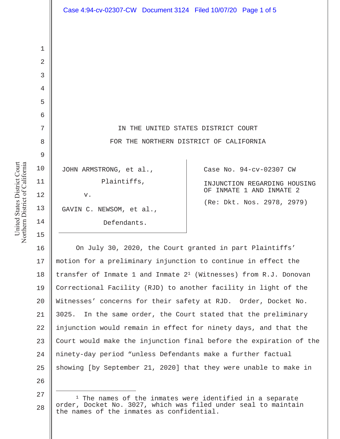|                | Case 4:94-cv-02307-CW Document 3124 Filed 10/07/20 Page 1 of 5 |                              |
|----------------|----------------------------------------------------------------|------------------------------|
|                |                                                                |                              |
| $\mathbf 1$    |                                                                |                              |
| $\overline{2}$ |                                                                |                              |
| 3              |                                                                |                              |
| 4              |                                                                |                              |
| 5              |                                                                |                              |
| 6              |                                                                |                              |
| 7              | IN THE UNITED STATES DISTRICT COURT                            |                              |
| 8              | FOR THE NORTHERN DISTRICT OF CALIFORNIA                        |                              |
| $\mathcal{G}$  |                                                                |                              |
| 10             | JOHN ARMSTRONG, et al.,                                        | Case No. 94-cv-02307 CW      |
| 11             | Plaintiffs,                                                    | INJUNCTION REGARDING HOUSING |
| 12             | V.                                                             | OF INMATE 1 AND INMATE 2     |
| 13             | GAVIN C. NEWSOM, et al.,                                       | (Re: Dkt. Nos. 2978, 2979)   |
| 14             | Defendants.                                                    |                              |

16 17 18 19 20 21 22 23 24 25 26 On July 30, 2020, the Court granted in part Plaintiffs' motion for a preliminary injunction to continue in effect the transfer of Inmate 1 and Inmate  $2<sup>1</sup>$  (Witnesses) from R.J. Donovan Correctional Facility (RJD) to another facility in light of the Witnesses' concerns for their safety at RJD. Order, Docket No. 3025. In the same order, the Court stated that the preliminary injunction would remain in effect for ninety days, and that the Court would make the injunction final before the expiration of the ninety-day period "unless Defendants make a further factual showing [by September 21, 2020] that they were unable to make in

<sup>27</sup> 28  $1$  The names of the inmates were identified in a separate order, Docket No. 3027, which was filed under seal to maintain the names of the inmates as confidential.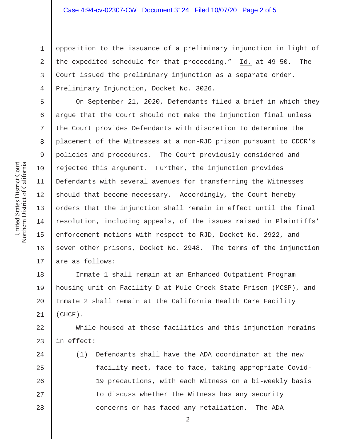opposition to the issuance of a preliminary injunction in light of the expedited schedule for that proceeding." Id. at 49-50. The Court issued the preliminary injunction as a separate order. Preliminary Injunction, Docket No. 3026.

On September 21, 2020, Defendants filed a brief in which they argue that the Court should not make the injunction final unless the Court provides Defendants with discretion to determine the placement of the Witnesses at a non-RJD prison pursuant to CDCR's policies and procedures. The Court previously considered and rejected this argument. Further, the injunction provides Defendants with several avenues for transferring the Witnesses should that become necessary. Accordingly, the Court hereby orders that the injunction shall remain in effect until the final resolution, including appeals, of the issues raised in Plaintiffs' enforcement motions with respect to RJD, Docket No. 2922, and seven other prisons, Docket No. 2948. The terms of the injunction are as follows:

18 19 20 21 Inmate 1 shall remain at an Enhanced Outpatient Program housing unit on Facility D at Mule Creek State Prison (MCSP), and Inmate 2 shall remain at the California Health Care Facility (CHCF).

22 23 While housed at these facilities and this injunction remains in effect:

24 25 26 27 28 (1) Defendants shall have the ADA coordinator at the new facility meet, face to face, taking appropriate Covid-19 precautions, with each Witness on a bi-weekly basis to discuss whether the Witness has any security concerns or has faced any retaliation. The ADA

United States District Court Northern District of California United States District Court Northern District of California 1

2

3

4

5

6

7

8

9

10

11

12

13

14

15

16

17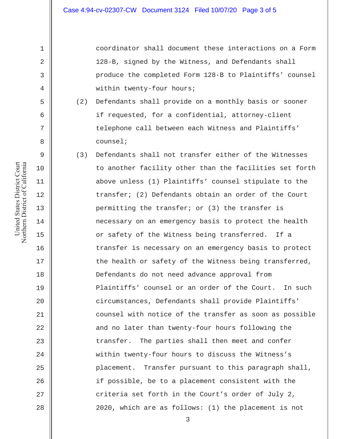coordinator shall document these interactions on a Form 128-B, signed by the Witness, and Defendants shall produce the completed Form 128-B to Plaintiffs' counsel within twenty-four hours;

- (2) Defendants shall provide on a monthly basis or sooner if requested, for a confidential, attorney-client telephone call between each Witness and Plaintiffs' counsel;
- (3) Defendants shall not transfer either of the Witnesses to another facility other than the facilities set forth above unless (1) Plaintiffs' counsel stipulate to the transfer; (2) Defendants obtain an order of the Court permitting the transfer; or (3) the transfer is necessary on an emergency basis to protect the health or safety of the Witness being transferred. If a transfer is necessary on an emergency basis to protect the health or safety of the Witness being transferred, Defendants do not need advance approval from Plaintiffs' counsel or an order of the Court. In such circumstances, Defendants shall provide Plaintiffs' counsel with notice of the transfer as soon as possible and no later than twenty-four hours following the transfer. The parties shall then meet and confer within twenty-four hours to discuss the Witness's placement. Transfer pursuant to this paragraph shall, if possible, be to a placement consistent with the criteria set forth in the Court's order of July 2, 2020, which are as follows: (1) the placement is not

1

2

3

4

5

6

7

8

9

10

11

12

13

14

15

16

17

18

19

20

21

22

23

24

25

26

27

28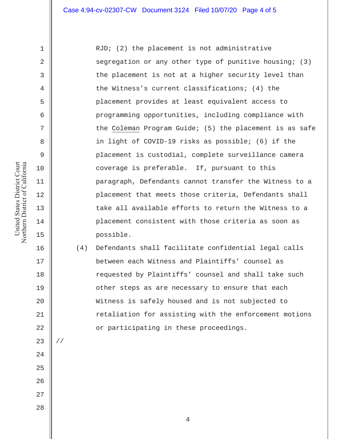RJD; (2) the placement is not administrative segregation or any other type of punitive housing; (3) the placement is not at a higher security level than the Witness's current classifications; (4) the placement provides at least equivalent access to programming opportunities, including compliance with the Coleman Program Guide; (5) the placement is as safe in light of COVID-19 risks as possible; (6) if the placement is custodial, complete surveillance camera coverage is preferable. If, pursuant to this paragraph, Defendants cannot transfer the Witness to a placement that meets those criteria, Defendants shall take all available efforts to return the Witness to a placement consistent with those criteria as soon as possible.

(4) Defendants shall facilitate confidential legal calls between each Witness and Plaintiffs' counsel as requested by Plaintiffs' counsel and shall take such other steps as are necessary to ensure that each Witness is safely housed and is not subjected to retaliation for assisting with the enforcement motions or participating in these proceedings.

United States District Court Northern District of California United States District Court Northern District of California 1

2

3

4

5

6

7

8

9

10

11

12

13

14

15

16

17

18

19

20

21

22

23

//

24

25

- 27
- 28